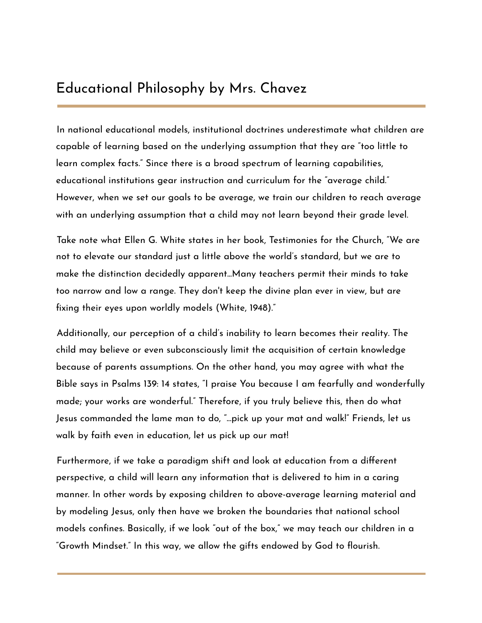## Educational Philosophy by Mrs. Chavez

In national educational models, institutional doctrines underestimate what children are capable of learning based on the underlying assumption that they are "too little to learn complex facts." Since there is a broad spectrum of learning capabilities, educational institutions gear instruction and curriculum for the "average child." However, when we set our goals to be average, we train our children to reach average with an underlying assumption that a child may not learn beyond their grade level.

Take note what Ellen G. White states in her book, Testimonies for the Church, "We are not to elevate our standard just a little above the world's standard, but we are to make the distinction decidedly apparent...Many teachers permit their minds to take too narrow and low a range. They don't keep the divine plan ever in view, but are fixing their eyes upon worldly models (White, 1948)."

Additionally, our perception of a child's inability to learn becomes their reality. The child may believe or even subconsciously limit the acquisition of certain knowledge because of parents assumptions. On the other hand, you may agree with what the Bible says in Psalms 139: 14 states, "I praise You because I am fearfully and wonderfully made; your works are wonderful." Therefore, if you truly believe this, then do what Jesus commanded the lame man to do, "...pick up your mat and walk!" Friends, let us walk by faith even in education, let us pick up our mat!

Furthermore, if we take a paradigm shift and look at education from a different perspective, a child will learn any information that is delivered to him in a caring manner. In other words by exposing children to above-average learning material and by modeling Jesus, only then have we broken the boundaries that national school models confines. Basically, if we look "out of the box," we may teach our children in a "Growth Mindset." In this way, we allow the gifts endowed by God to flourish.